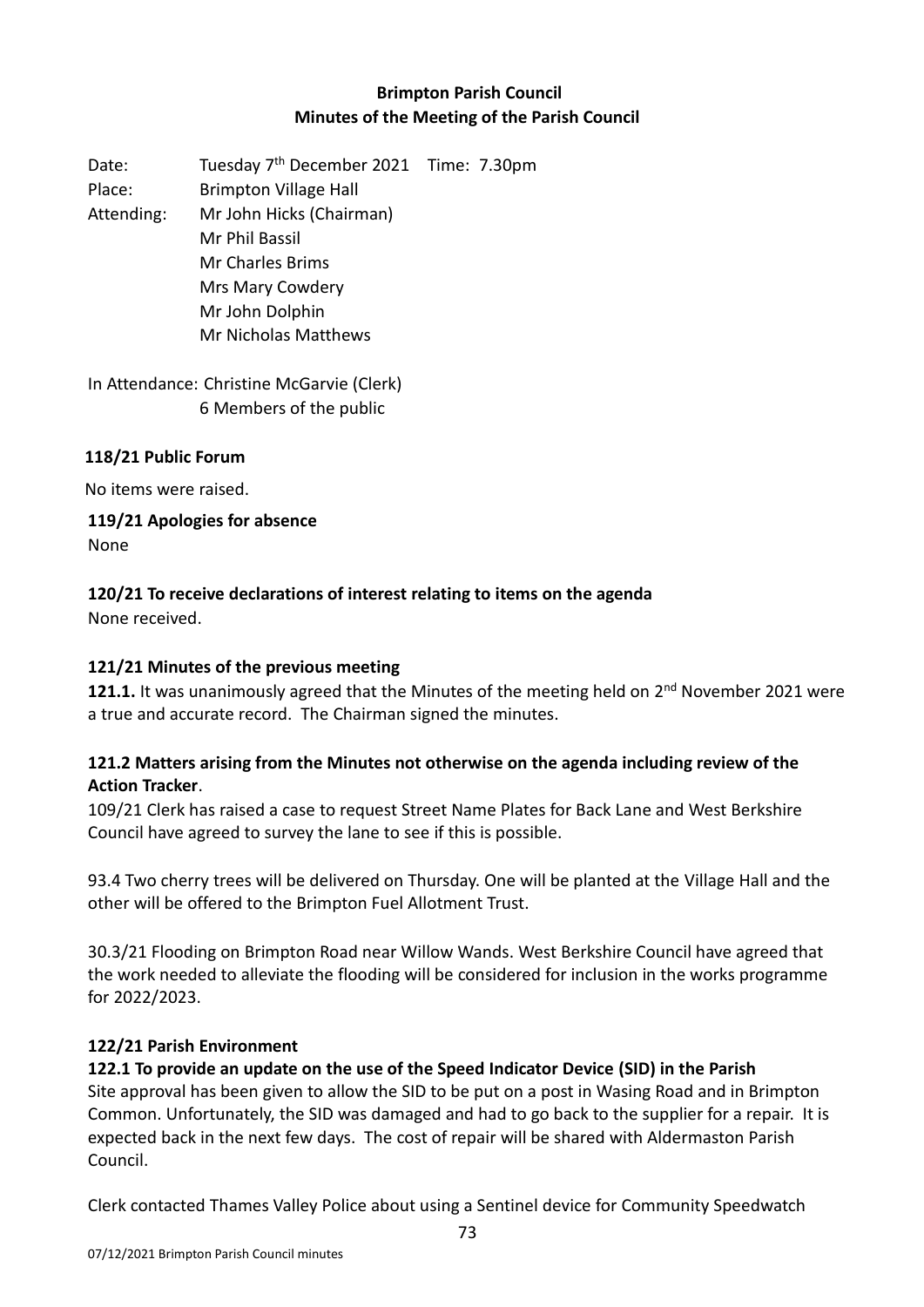# **Brimpton Parish Council Minutes of the Meeting of the Parish Council**

Date: Tuesday 7<sup>th</sup> December 2021 Time: 7.30pm Place: Brimpton Village Hall Attending: Mr John Hicks (Chairman) Mr Phil Bassil Mr Charles Brims Mrs Mary Cowdery Mr John Dolphin Mr Nicholas Matthews

In Attendance: Christine McGarvie (Clerk) 6 Members of the public

### **118/21 Public Forum**

No items were raised.

**119/21 Apologies for absence**

None

# **120/21 To receive declarations of interest relating to items on the agenda**

None received.

### **121/21 Minutes of the previous meeting**

121.1. It was unanimously agreed that the Minutes of the meeting held on 2<sup>nd</sup> November 2021 were a true and accurate record. The Chairman signed the minutes.

## **121.2 Matters arising from the Minutes not otherwise on the agenda including review of the Action Tracker**.

109/21 Clerk has raised a case to request Street Name Plates for Back Lane and West Berkshire Council have agreed to survey the lane to see if this is possible.

93.4 Two cherry trees will be delivered on Thursday. One will be planted at the Village Hall and the other will be offered to the Brimpton Fuel Allotment Trust.

30.3/21 Flooding on Brimpton Road near Willow Wands. West Berkshire Council have agreed that the work needed to alleviate the flooding will be considered for inclusion in the works programme for 2022/2023.

### **122/21 Parish Environment**

# **122.1 To provide an update on the use of the Speed Indicator Device (SID) in the Parish**

Site approval has been given to allow the SID to be put on a post in Wasing Road and in Brimpton Common. Unfortunately, the SID was damaged and had to go back to the supplier for a repair. It is expected back in the next few days. The cost of repair will be shared with Aldermaston Parish Council.

Clerk contacted Thames Valley Police about using a Sentinel device for Community Speedwatch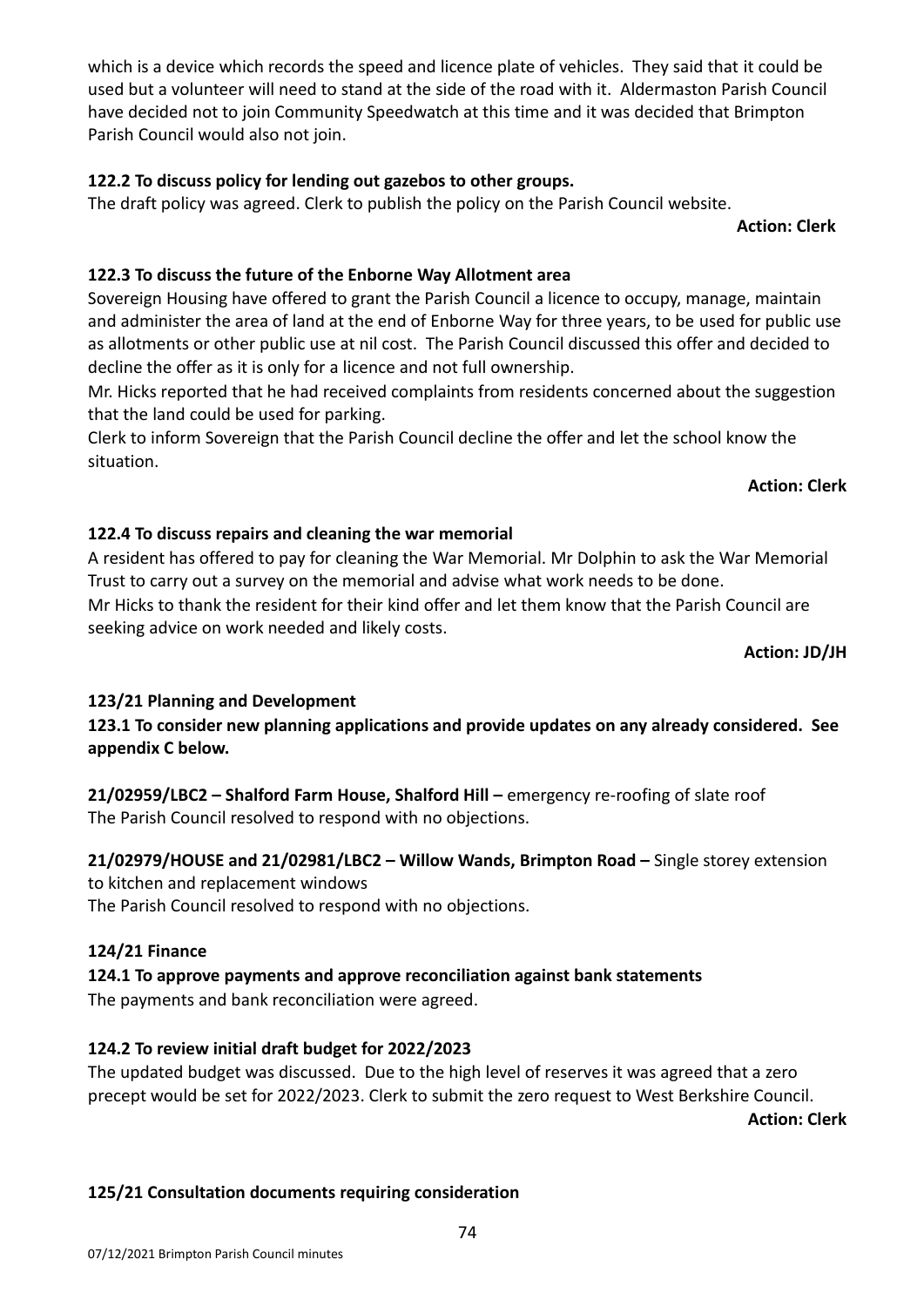which is a device which records the speed and licence plate of vehicles. They said that it could be used but a volunteer will need to stand at the side of the road with it. Aldermaston Parish Council have decided not to join Community Speedwatch at this time and it was decided that Brimpton Parish Council would also not join.

### **122.2 To discuss policy for lending out gazebos to other groups.**

The draft policy was agreed. Clerk to publish the policy on the Parish Council website.

**Action: Clerk** 

### **122.3 To discuss the future of the Enborne Way Allotment area**

Sovereign Housing have offered to grant the Parish Council a licence to occupy, manage, maintain and administer the area of land at the end of Enborne Way for three years, to be used for public use as allotments or other public use at nil cost. The Parish Council discussed this offer and decided to decline the offer as it is only for a licence and not full ownership.

Mr. Hicks reported that he had received complaints from residents concerned about the suggestion that the land could be used for parking.

Clerk to inform Sovereign that the Parish Council decline the offer and let the school know the situation.

#### **Action: Clerk**

### **122.4 To discuss repairs and cleaning the war memorial**

A resident has offered to pay for cleaning the War Memorial. Mr Dolphin to ask the War Memorial Trust to carry out a survey on the memorial and advise what work needs to be done. Mr Hicks to thank the resident for their kind offer and let them know that the Parish Council are seeking advice on work needed and likely costs.

**Action: JD/JH**

### **123/21 Planning and Development**

**123.1 To consider new planning applications and provide updates on any already considered. See appendix C below.**

**21/02959/LBC2 – Shalford Farm House, Shalford Hill –** emergency re-roofing of slate roof The Parish Council resolved to respond with no objections.

# **21/02979/HOUSE and 21/02981/LBC2 – Willow Wands, Brimpton Road –** Single storey extension

to kitchen and replacement windows

The Parish Council resolved to respond with no objections.

#### **124/21 Finance**

# **124.1 To approve payments and approve reconciliation against bank statements**

The payments and bank reconciliation were agreed.

#### **124.2 To review initial draft budget for 2022/2023**

The updated budget was discussed. Due to the high level of reserves it was agreed that a zero precept would be set for 2022/2023. Clerk to submit the zero request to West Berkshire Council.

**Action: Clerk**

# **125/21 Consultation documents requiring consideration**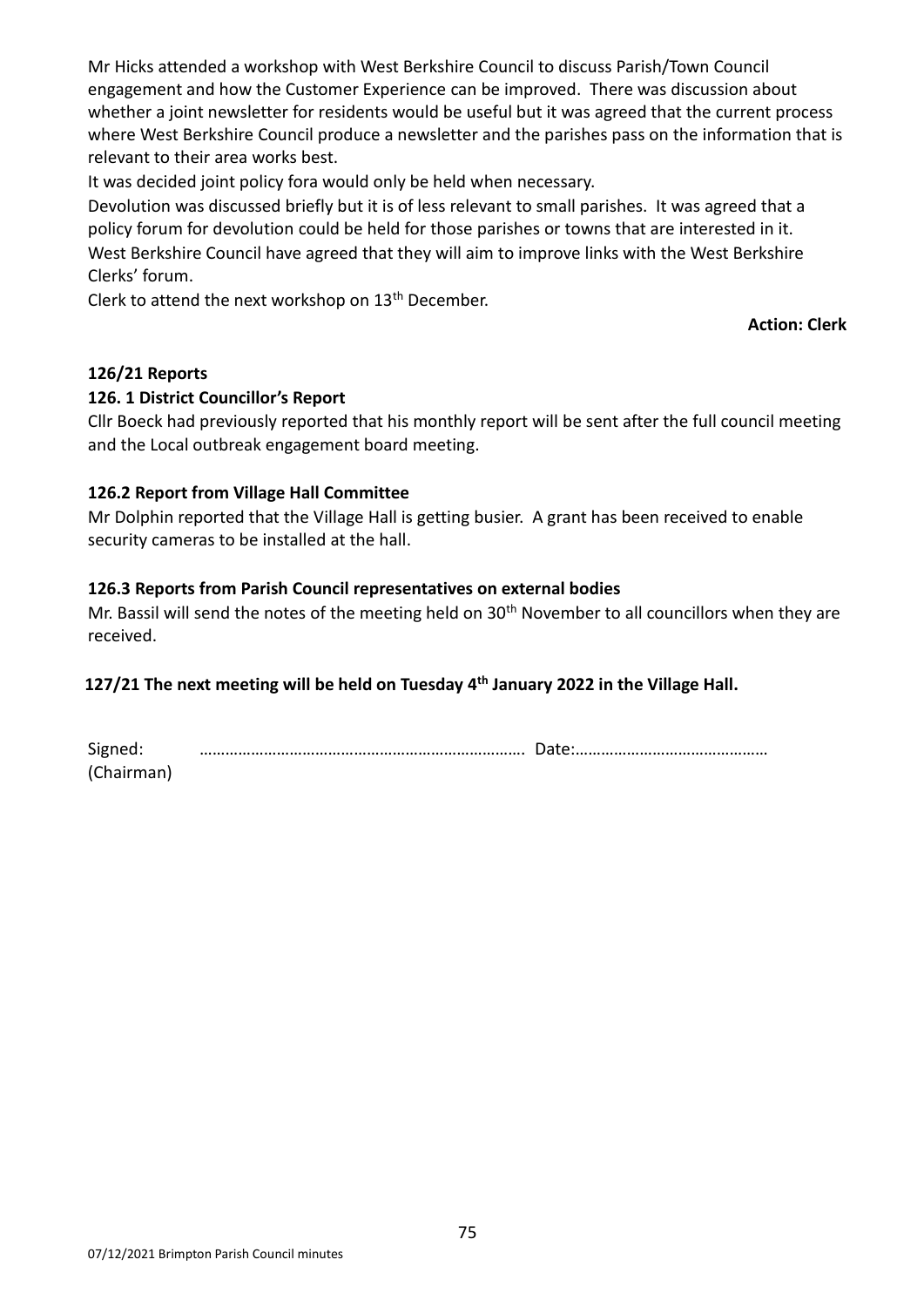Mr Hicks attended a workshop with West Berkshire Council to discuss Parish/Town Council engagement and how the Customer Experience can be improved. There was discussion about whether a joint newsletter for residents would be useful but it was agreed that the current process where West Berkshire Council produce a newsletter and the parishes pass on the information that is relevant to their area works best.

It was decided joint policy fora would only be held when necessary.

Devolution was discussed briefly but it is of less relevant to small parishes. It was agreed that a policy forum for devolution could be held for those parishes or towns that are interested in it. West Berkshire Council have agreed that they will aim to improve links with the West Berkshire Clerks' forum.

Clerk to attend the next workshop on 13<sup>th</sup> December.

**Action: Clerk** 

### **126/21 Reports**

#### **126. 1 District Councillor's Report**

Cllr Boeck had previously reported that his monthly report will be sent after the full council meeting and the Local outbreak engagement board meeting.

### **126.2 Report from Village Hall Committee**

Mr Dolphin reported that the Village Hall is getting busier. A grant has been received to enable security cameras to be installed at the hall.

### **126.3 Reports from Parish Council representatives on external bodies**

Mr. Bassil will send the notes of the meeting held on  $30<sup>th</sup>$  November to all councillors when they are received.

## **127/21 The next meeting will be held on Tuesday 4 th January 2022 in the Village Hall.**

| Signed:    |  |
|------------|--|
| (Chairman) |  |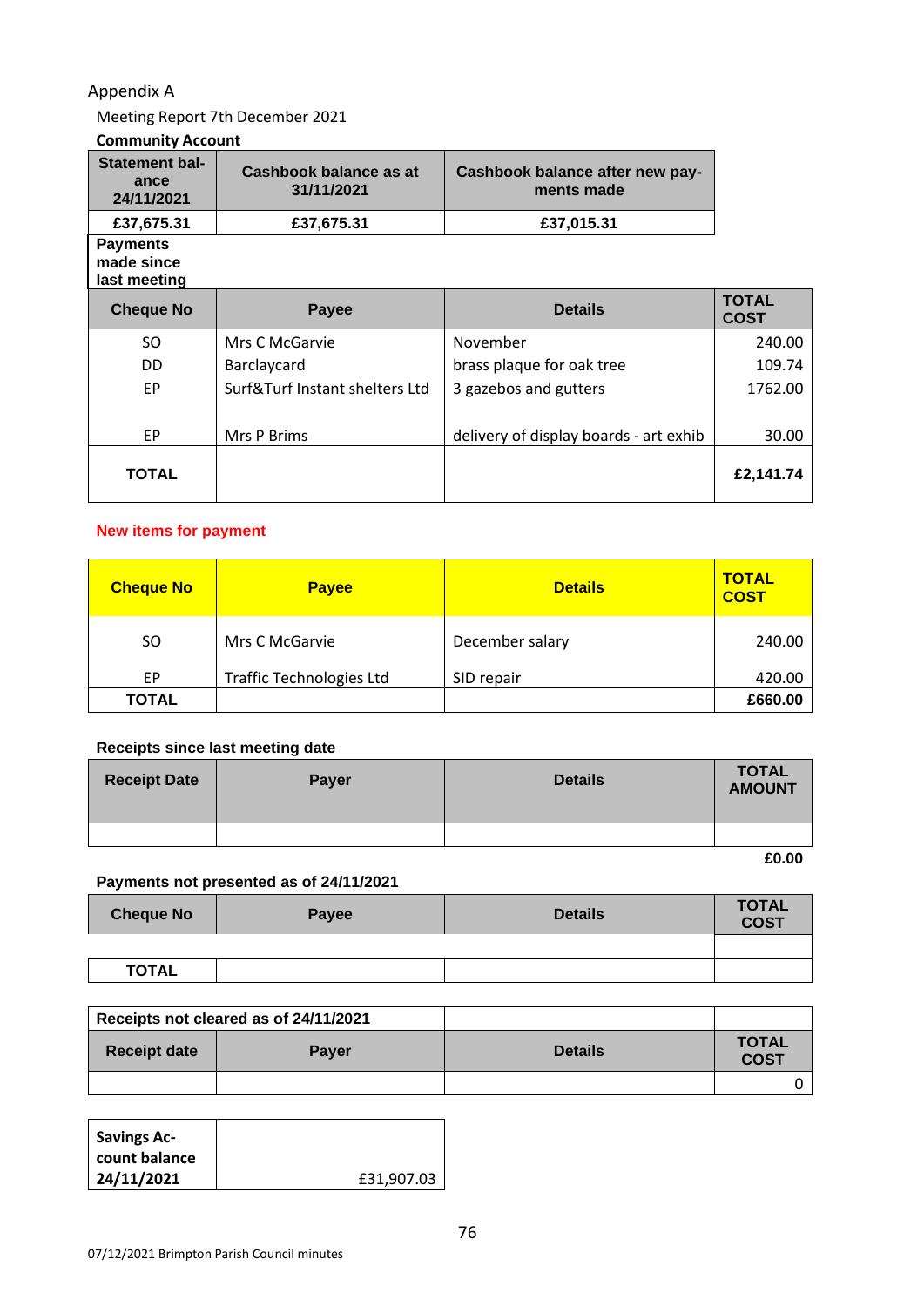## Appendix A

Meeting Report 7th December 2021

### **Community Account**

| <b>Statement bal-</b><br>ance<br>24/11/2021   | Cashbook balance as at<br>31/11/2021 | Cashbook balance after new pay-<br>ments made |                             |
|-----------------------------------------------|--------------------------------------|-----------------------------------------------|-----------------------------|
| £37,675.31                                    | £37,675.31                           | £37,015.31                                    |                             |
| <b>Payments</b><br>made since<br>last meeting |                                      |                                               |                             |
| <b>Cheque No</b>                              | <b>Payee</b>                         | <b>Details</b>                                | <b>TOTAL</b><br><b>COST</b> |
| SO.                                           | Mrs C McGarvie                       | November                                      | 240.00                      |
| DD.                                           | Barclaycard                          | brass plaque for oak tree                     | 109.74                      |
| <b>EP</b>                                     | Surf&Turf Instant shelters Ltd       | 3 gazebos and gutters                         | 1762.00                     |
|                                               |                                      |                                               |                             |
| <b>EP</b>                                     | Mrs P Brims                          | delivery of display boards - art exhib        | 30.00                       |
| TOTAL                                         |                                      |                                               | £2,141.74                   |

#### **New items for payment**

| <b>Cheque No</b> | <b>Payee</b>                    | <b>Details</b>  | <b>TOTAL</b><br><b>COST</b> |
|------------------|---------------------------------|-----------------|-----------------------------|
| SO.              | Mrs C McGarvie                  | December salary | 240.00                      |
| EP               | <b>Traffic Technologies Ltd</b> | SID repair      | 420.00                      |
| <b>TOTAL</b>     |                                 |                 | £660.00                     |

### **Receipts since last meeting date**

| <b>Receipt Date</b> | <b>Payer</b> | <b>Details</b> | <b>TOTAL</b><br><b>AMOUNT</b> |
|---------------------|--------------|----------------|-------------------------------|
|                     |              |                |                               |

**£0.00**

#### **Payments not presented as of 24/11/2021**

| <b>Cheque No</b> | Payee | <b>Details</b> | <b>TOTAL</b><br><b>COST</b> |
|------------------|-------|----------------|-----------------------------|
|                  |       |                |                             |
| <b>TOTAL</b>     |       |                |                             |

|                     | Receipts not cleared as of 24/11/2021 |                |                             |
|---------------------|---------------------------------------|----------------|-----------------------------|
| <b>Receipt date</b> | <b>Payer</b>                          | <b>Details</b> | <b>TOTAL</b><br><b>COST</b> |
|                     |                                       |                |                             |

| <b>Savings Ac-</b> |            |
|--------------------|------------|
| count balance      |            |
| 24/11/2021         | £31,907.03 |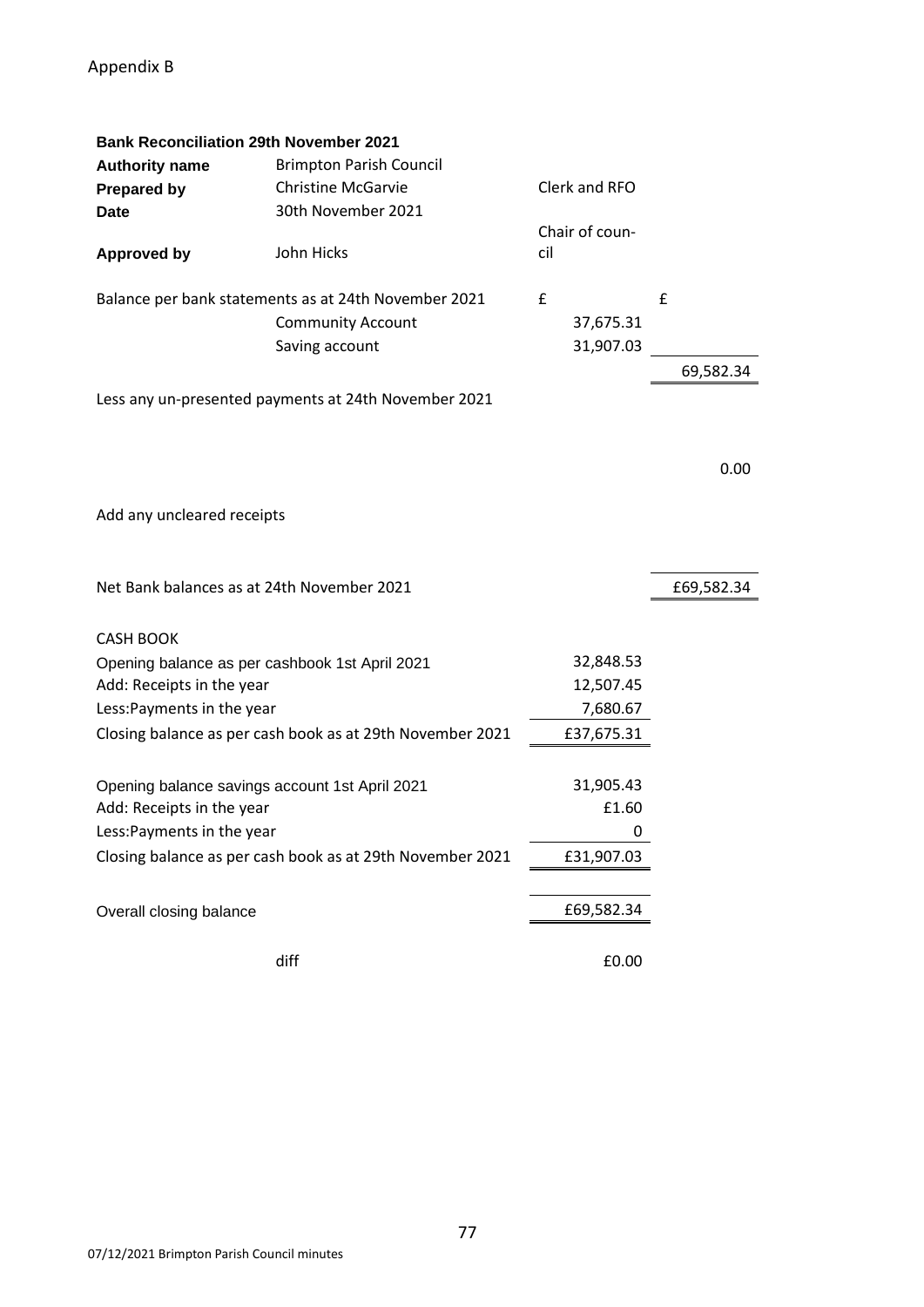| <b>Bank Reconciliation 29th November 2021</b>  |                                                           |     |                |            |
|------------------------------------------------|-----------------------------------------------------------|-----|----------------|------------|
| <b>Authority name</b>                          | <b>Brimpton Parish Council</b>                            |     |                |            |
| <b>Prepared by</b>                             | <b>Christine McGarvie</b>                                 |     | Clerk and RFO  |            |
| <b>Date</b>                                    | 30th November 2021                                        |     |                |            |
|                                                |                                                           |     | Chair of coun- |            |
| <b>Approved by</b>                             | John Hicks                                                | cil |                |            |
|                                                |                                                           |     |                |            |
|                                                | Balance per bank statements as at 24th November 2021      | £   |                | £          |
|                                                | <b>Community Account</b>                                  |     | 37,675.31      |            |
|                                                | Saving account                                            |     | 31,907.03      |            |
|                                                |                                                           |     |                | 69,582.34  |
|                                                | Less any un-presented payments at 24th November 2021      |     |                |            |
|                                                |                                                           |     |                |            |
|                                                |                                                           |     |                |            |
|                                                |                                                           |     |                | 0.00       |
|                                                |                                                           |     |                |            |
| Add any uncleared receipts                     |                                                           |     |                |            |
|                                                |                                                           |     |                |            |
|                                                |                                                           |     |                |            |
| Net Bank balances as at 24th November 2021     |                                                           |     |                | £69,582.34 |
|                                                |                                                           |     |                |            |
| <b>CASH BOOK</b>                               |                                                           |     |                |            |
| Opening balance as per cashbook 1st April 2021 |                                                           |     | 32,848.53      |            |
| Add: Receipts in the year                      |                                                           |     | 12,507.45      |            |
| Less: Payments in the year                     |                                                           |     | 7,680.67       |            |
|                                                | Closing balance as per cash book as at 29th November 2021 |     | £37,675.31     |            |
|                                                |                                                           |     |                |            |
|                                                |                                                           |     |                |            |
| Opening balance savings account 1st April 2021 |                                                           |     | 31,905.43      |            |
| Add: Receipts in the year                      |                                                           |     | £1.60          |            |
| Less: Payments in the year                     |                                                           |     | 0              |            |
|                                                | Closing balance as per cash book as at 29th November 2021 |     | £31,907.03     |            |
|                                                |                                                           |     |                |            |
|                                                |                                                           |     |                |            |
| Overall closing balance                        |                                                           |     | £69,582.34     |            |
|                                                |                                                           |     |                |            |